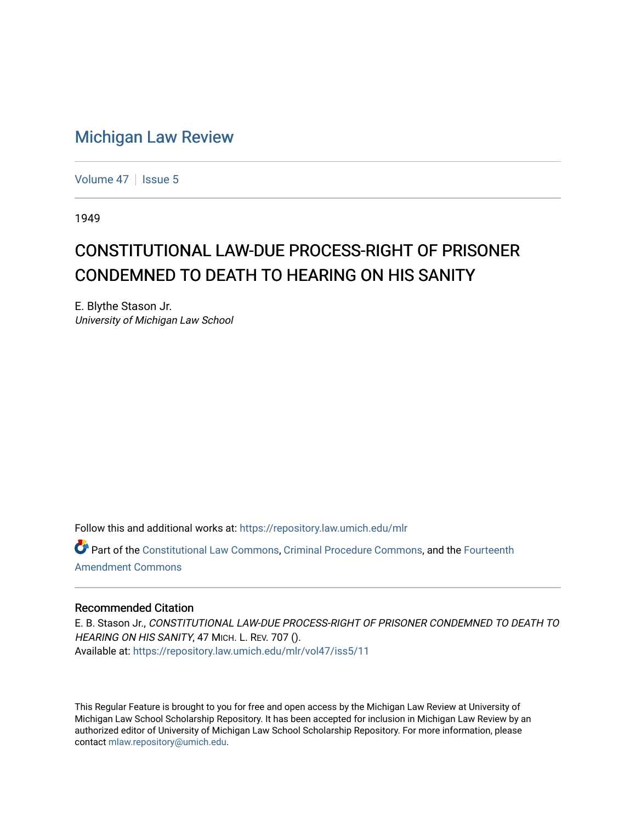## [Michigan Law Review](https://repository.law.umich.edu/mlr)

[Volume 47](https://repository.law.umich.edu/mlr/vol47) | [Issue 5](https://repository.law.umich.edu/mlr/vol47/iss5)

1949

## CONSTITUTIONAL LAW-DUE PROCESS-RIGHT OF PRISONER CONDEMNED TO DEATH TO HEARING ON HIS SANITY

E. Blythe Stason Jr. University of Michigan Law School

Follow this and additional works at: [https://repository.law.umich.edu/mlr](https://repository.law.umich.edu/mlr?utm_source=repository.law.umich.edu%2Fmlr%2Fvol47%2Fiss5%2F11&utm_medium=PDF&utm_campaign=PDFCoverPages) 

Part of the [Constitutional Law Commons,](http://network.bepress.com/hgg/discipline/589?utm_source=repository.law.umich.edu%2Fmlr%2Fvol47%2Fiss5%2F11&utm_medium=PDF&utm_campaign=PDFCoverPages) [Criminal Procedure Commons,](http://network.bepress.com/hgg/discipline/1073?utm_source=repository.law.umich.edu%2Fmlr%2Fvol47%2Fiss5%2F11&utm_medium=PDF&utm_campaign=PDFCoverPages) and the [Fourteenth](http://network.bepress.com/hgg/discipline/1116?utm_source=repository.law.umich.edu%2Fmlr%2Fvol47%2Fiss5%2F11&utm_medium=PDF&utm_campaign=PDFCoverPages) [Amendment Commons](http://network.bepress.com/hgg/discipline/1116?utm_source=repository.law.umich.edu%2Fmlr%2Fvol47%2Fiss5%2F11&utm_medium=PDF&utm_campaign=PDFCoverPages)

## Recommended Citation

E. B. Stason Jr., CONSTITUTIONAL LAW-DUE PROCESS-RIGHT OF PRISONER CONDEMNED TO DEATH TO HEARING ON HIS SANITY, 47 MICH. L. REV. 707 (). Available at: [https://repository.law.umich.edu/mlr/vol47/iss5/11](https://repository.law.umich.edu/mlr/vol47/iss5/11?utm_source=repository.law.umich.edu%2Fmlr%2Fvol47%2Fiss5%2F11&utm_medium=PDF&utm_campaign=PDFCoverPages) 

This Regular Feature is brought to you for free and open access by the Michigan Law Review at University of Michigan Law School Scholarship Repository. It has been accepted for inclusion in Michigan Law Review by an authorized editor of University of Michigan Law School Scholarship Repository. For more information, please contact [mlaw.repository@umich.edu](mailto:mlaw.repository@umich.edu).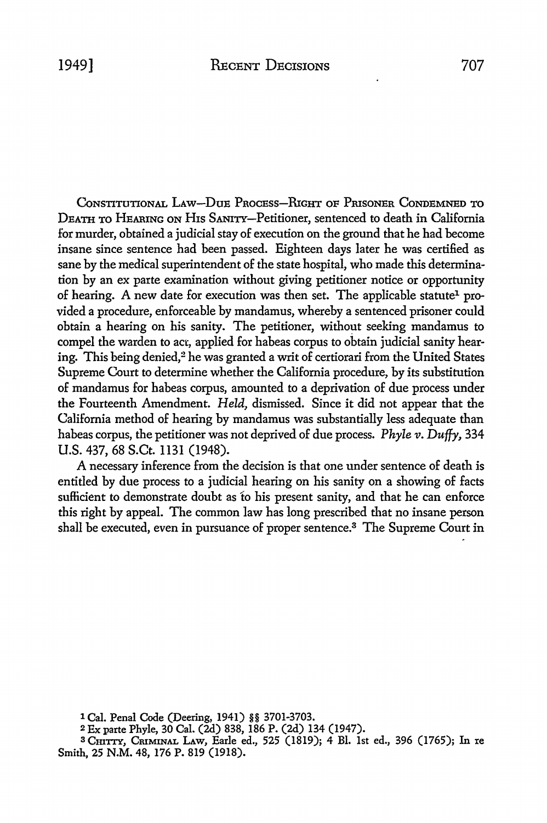CoNSTITUTIONAL LAw-DuE PRoCEss-RrGHT OF PrusoNER CoNDEMNED TO DEATH TO HEARING ON His SANirr-Petitioner, sentenced to death in California for murder, obtained a judicial stay of execution on the ground that he had become insane since sentence had been passed. Eighteen days later he was certified as sane by the medical superintendent of the state hospital, who made this determination by an ex parte examination without giving petitioner notice or opportunity of hearing. A new date for execution was then set. The applicable statute<sup>1</sup> provided a procedure, enforceable by mandamus, whereby a sentenced prisoner could obtain a hearing on his sanity. The petitioner, without seeking mandamus to compel the warden to act, applied for habeas corpus to obtain judicial sanity hearing. This being denied,<sup>2</sup> he was granted a writ of certiorari from the United States Supreme Court to determine whether the California procedure, by its substitution of mandamus for habeas corpus, amounted to a deprivation of due process under the Fourteenth Amendment. *Held,* dismissed. Since it did not appear that the California method of hearing by mandamus was substantially less adequate than habeas corpus, the petitioner was not deprived of due process. *Phyle v. Duffy*, 334 U.S. 437, 68 S.Ct. 1131 (1948).

A necessary inference from the decision is that one under sentence of death is entitled by due process to a judicial hearing on his sanity on a showing of facts sufficient to demonstrate doubt as to his present sanity, and that he can enforce this right by appeal. The common law has long prescribed that no insane person shall be executed, even in pursuance of proper sentence.3 The Supreme Court in

1 Cal. Penal Code (Deering, 1941) §§ 3701-3703.

<sup>2</sup>Ex parte Phyle, 30 Cal. (2d) 838, 186 P. (2d) 134 (1947).

3 Cmrn, CRIMINAL LAW, Earle ed., 525 (1819); 4 Bl. 1st ed., 396 (1765); In re Smith, 25 N.M. 48, 176 P. 819 (1918).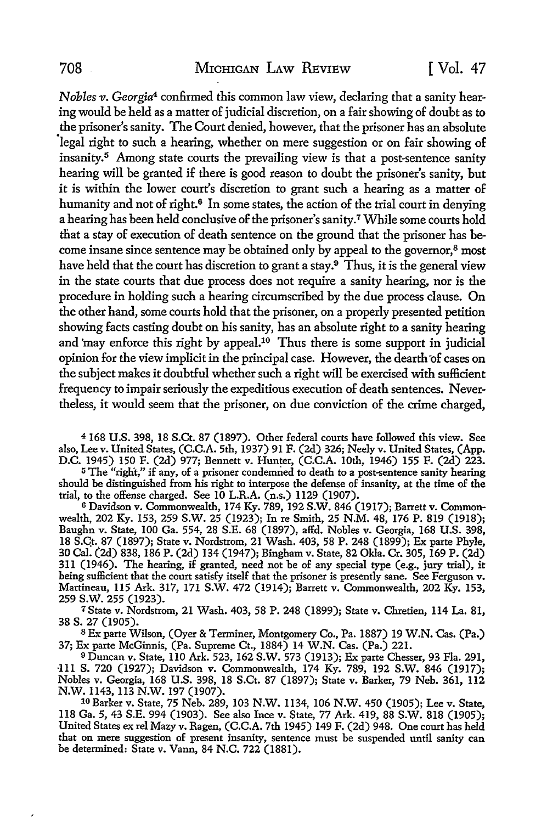*Nobles v. Georgia*4 confirmed this common law view, declaring that a sanity hearing would be held as a matter of judicial discretion, on a fair showing of doubt as to the prisoner's sanity. The Court denied, however, that the prisoner has an absolute 'legal right to such a hearing, whether on mere suggestion or on fair showing of insanity.<sup>5</sup> Among state courts the prevailing view is that a post-sentence sanity hearing will be granted if there is good reason to doubt the prisoner's sanity, but it is within the lower court's discretion to grant such a hearing as a matter of humanity and not of right.<sup>6</sup> In some states, the action of the trial court in denying a hearing has been held conclusive of the prisoner's sanity.7 While some courts hold that a stay of execution of death sentence on the ground that the prisoner has become insane since sentence may be obtained only by appeal to the governor,<sup>8</sup> most have held that the court has discretion to grant a stay.<sup>9</sup> Thus, it is the general view in the state courts that due process does not require a sanity hearing, nor is the procedure in holding such a hearing circumscribed by the due process clause. On the other hand, some courts hold that the prisoner, on a properly presented petition showing facts casting doubt on his sanity, has an absolute right to a sanity hearing and 'may enforce this right by appeal.<sup>10</sup> Thus there is some support in judicial opinion for the view implicit in the principal case. However, the dearth of cases on the subject makes it doubtful whether such a right will be exercised with sufficient frequency to impair seriously the expeditious execution of death sentences. Nevertheless, it would seem that the prisoner, on due conviction of the crime charged,

<sup>4</sup>168 U.S. 398, 18 S.Ct. 87 (1897). Other federal courts have followed this view. See also, Lee v. United States, (C.C.A. 5th, 1937) 91 F. (2d) 326; Neely v. United States, (App. D.C. 1945) 150 F. (2d) 977; Bennett v. Hunter, (C.C.A. 10th, 1946) 155 F. (2d) 223.

<sup>5</sup>The "right," if any, of a prisoner condemned to death to a post-sentence sanity hearing should be distinguished from his right to interpose the defense of insanity, at the time of the trial, to the offense charged. See 10 L.R.A. (n.s.) 1129 (1907).

6 Davidson v. Commonwealth, 174 Ky. 789, 192 S.W. 846 (1917); Barrett v. Commonwealth, 202 Ky. 153, 259 S.W. 25 (1923); In re Smith, 25 N.M. 48, 176 P. 819 (1918); Baughn v. State, 100 Ga. 554, 28 S.E. 68 (1897), affd. Nobles v. Georgia, 168 U.S. 398, 18 S.Qt.\_ 87 (1897); State v. Nordstrom, 21 Wash. 403, 58 P. 248 (1899); Ex parte Phyle, 30 Cal. (2d) 838, 186 P. (2d) 134 (1947); Bingham v. State, 82 Okla. Cr. 305, 169 P. (2d) 3ll (1946). The hearing, if granted, need not be of any special type (e.g., jury trial), it being sufficient that the court satisfy itself that the prisoner is presently sane. See Ferguson v. Martineau, ll5 Ark. 317, 171 S.W. 472 (1914); Barrett v. Commonwealth, 202 Ky. 153,

<sup>7</sup> State v. Nordstrom, 21 Wash. 403, 58 P. 248 (1899); State v. Chretien, 114 La. 81, 38 s. 27 (1905).

<sup>8</sup>Ex parte Wilson, (Oyer & Terminer, Montgomery Co., Pa. 1887) 19 W.N. Cas. (Pa.) 37; Ex parte McGinnis, (Pa. Supreme Ct., 1884) 14 W.N. Cas. (Pa.) 221.

<sup>9</sup>Duncan v. State, 110 Ark. 523, 162 S.W. 573 (1913); Ex parte Chesser, 93 Fla. 291, ·Ill S. 720 (1927); Davidson v. Commonwealth, 174 Ky. 789, 192 S.W. 846 (1917); Nobles v. Georgia, 168 U.S. 398, 18 S.Ct. 87 (1897); State v. Barker, 79 Neb. 361, 112 N.W. 1143, 113 N.W. 197 (1907).

10 Barker v. State, 75 Neb. 289, 103 N.W. 1134, 106 N.W. 450 (1905); Lee v. State, 118 Ga. 5, 43 S.E. 994 (1903). See also Ince v. State, 77 Ark. 419, 88 S.W. 818 (1905); United States ex rel Mazy v. Ragen, (C.C.A. 7th 1945) 149 F. (2d) 948. One court has held that on mere suggestion of present insanity, sentence must be suspended until sanity can be determined: State v. Vann, 84 N.C. 722 (1881).